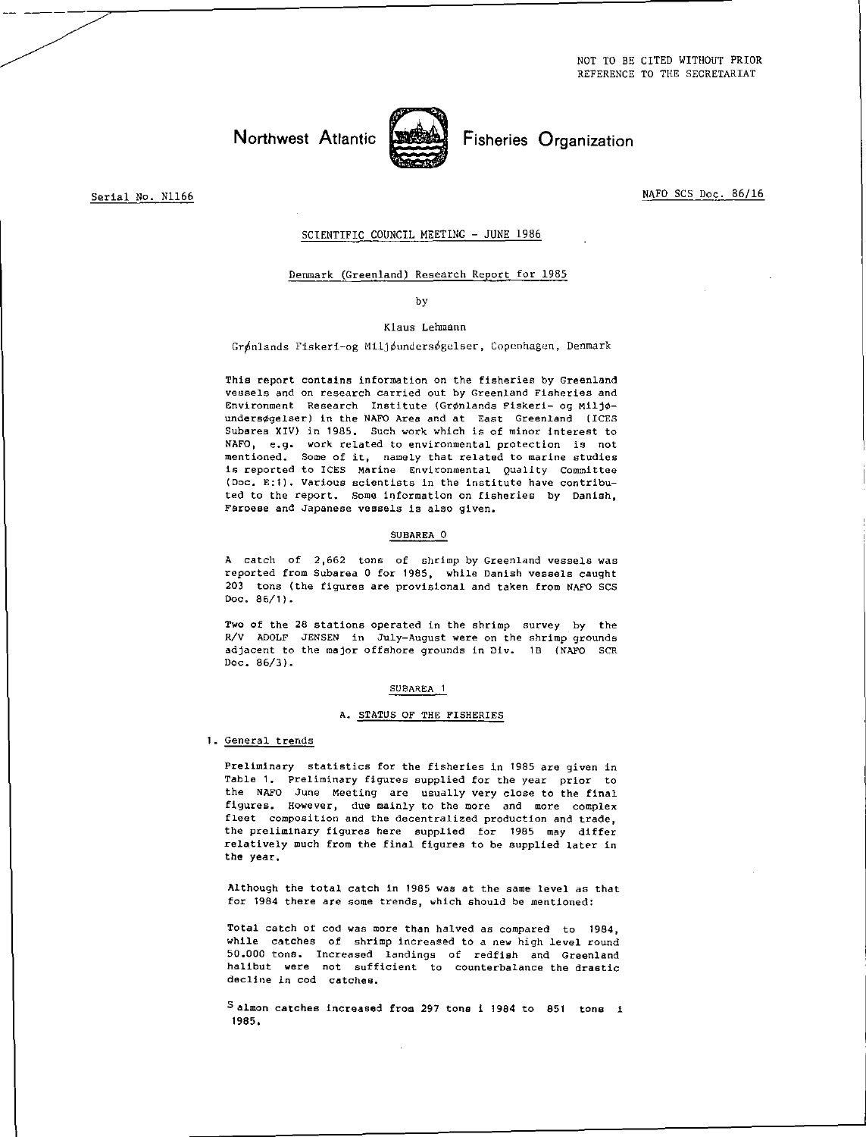Northwest Atlantic **Fisheries** Organization



Serial No. N1166

NAFO SCS Doc. 86/16

## SCIENTIFIC COUNCIL MEETING - JUNE 1986

## Denmark (Greenland) Research Report for 1985

#### by

## Klaus Lehmann

Grønlands Fiskeri-og Miljøundersøgelser, Copenhagen, Denmark

This report contains information on the fisheries by Greenland vessels and on research carried out by Greenland Fisheries and Environment Research Institute (Grønlands Fiskeri- og Miljøundersøgelser) in the NAFO Area and at East Greenland (ICES Subarea XIV) in 1985. Such work which is of minor interest to NAFO, e.g. work related to environmental protection is not mentioned. Some of it, namely that related to marine studies is reported to ICES Marine Environmental Quality Committee (Doc. E:1). Various scientists In the institute have contributed to the report. Some information on fisheries by Danish, Faroese and Japanese vessels is also given.

### SUBAREA 0

A catch of 2,662 tons of shrimp by Greenland vessels was reported from Subarea 0 for 1985, while Danish vessels caught 203 tons (the figures are provisional and taken from NAFO SCS Doc. 86/1).

Two of the 28 stations operated in the shrimp survey by the R/V ADOLF JENSEN in July-August were on the shrimp grounds adjacent to the major offshore grounds in Div. 18 (NAFO SCR Doc. 86/3).

#### SUBAREA 1

## A. STATUS OF THE FISHERIES

## 1. General trends

Preliminary statistics for the fisheries in 1985 are given in Table 1. Preliminary figures supplied for the year prior to the NAFO June Meeting are usually very close to the final figures. However, due mainly to the more and more complex fleet composition and the decentralized production and trade, the preliminary figures here supplied for 1985 may differ relatively much from the final figures to be supplied later in the year.

Although the total catch in 1985 was at the same level as that for 1984 there are some trends, which should be mentioned:

Total catch of cod was more than halved as compared to 1984, while catches of shrimp increased to a new high level round 50.000 tons. Increased landings of redfish and Greenland halibut were not sufficient to counterbalance the drastic decline in cod catches.

S almon catches increased from 297 tons i 1984 to 851 tons i 1985.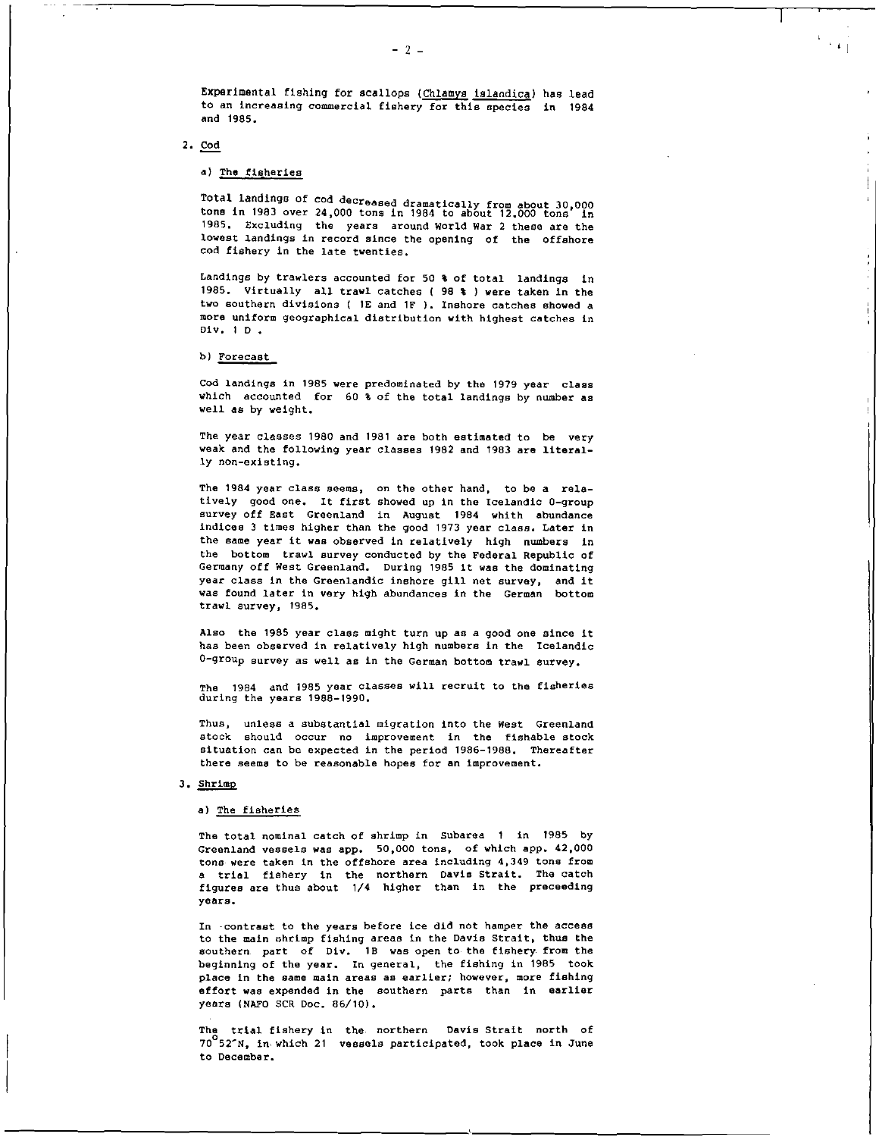$\pm 1$ 

 $\mathbf{I}$ 

Experimental fishing for scallops (Chlamys islandica) has lead to an increasing commercial fishery for this species in 1984 and 1985.

## 2. Cod

## a) The fisheries

Total landings of cod decreased dramatically from about 30,000 tons in 1983 over 24,000 tons in 1984 to about 12.000 tons in 1985. Excluding the years around World War 2 these are the lowest landings in record since the opening of the offshore cod fishery in the late twenties.

Landings by trawlers accounted for 50 % of total landings in 1985. Virtually all trawl catches ( 98 8 ) were taken in the two southern divisions ( 1E and 1F ). Inshore catches showed a more uniform geographical distribution with highest catches in Div. 1 D .

### b) Forecast

Cod landings in 1985 were predominated by the 1979 year class which accounted for 60 8 of the total landings by number as well **as** by weight.

The year classes 1980 and 1981 are both estimated to be very weak and the following year classes 1982 and 1983 are literally non-existing.

The 1984 year class seems, on the other hand, to be a relatively good one. It first showed up in the Icelandic 0-group survey off East Greenland in August 1984 whith abundance indices 3 times higher than the good 1973 year class. Later in the same year it was observed in relatively high numbers in the bottom trawl survey conducted by the Federal Republic of Germany off West Greenland. During 1985 it was the dominating year class in the Greenlandic inshore gill net survey, and it was found later in very high abundances in the German bottom trawl survey, 1985.

Also the 1985 year class might turn up as a good one since it has been observed in relatively high numbers in the Icelandic 0-group survey as well as in the German bottom trawl survey.

The 1984 and 1985 year classes will recruit to the fisheries during the years 1988-1990.

Thus, unless a substantial migration into the West Greenland stock should occur no improvement in the fishable stock situation can be expected in the period 1986-1988. Thereafter there seems to be reasonable hopes for an improvement.

### 3. Shrimp

#### a) The fisheries

The total nominal catch of shrimp in Subarea 1 in 1985 by Greenland vessels was app. 50,000 tons, of which app. 42,000 tons were taken in the offshore area including 4,349 tons from a trial fishery in the northern Davis Strait. The catch figures are thus about 1/4 higher than in the preceeding years.

In -contrast to the years before ice did not hamper the access to the main shrimp fishing areas in the Davis Strait, thus the southern part of Div. 18 was open to the fishery from the beginning of the year. In general, the fishing in 1985 took place in the same main areas as earlier; however, more fishing effort was expended in the southern parts than in earlier years (NAFO SCR Doc. 86/10).

The trial fishery in the. northern Davis Strait north of 7052'N, in. which 21 vessels participated, took place in June to December.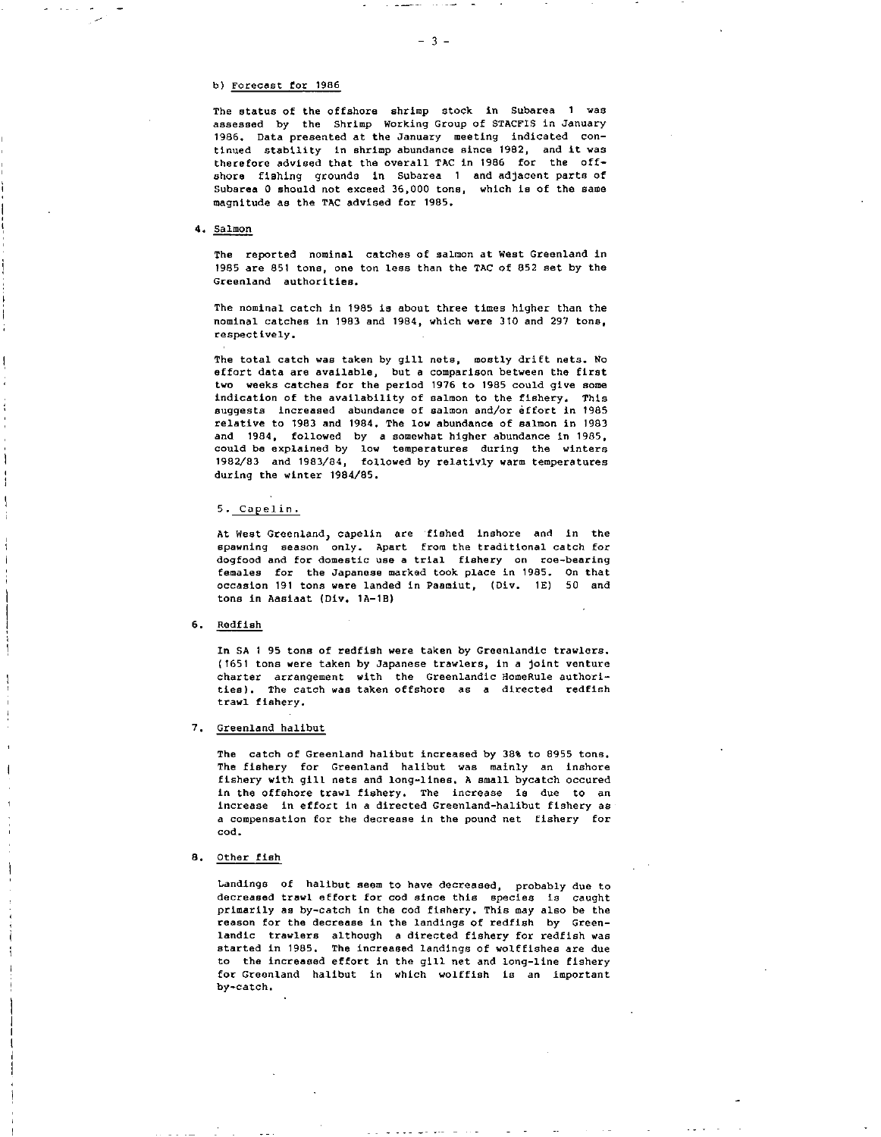## b) Forecast for 1986

The status of the offshore shrimp stock in Subarea 1 was assessed by the Shrimp Working Group of STACFIS in January 1986. Data presented at the January meeting indicated continued stability in shrimp abundance since 1982, and it was therefore advised that the overall TAC *in* 1986 for the offshore fishing grounds in Subarea 1 and adjacent parts of Subarea 0 should not exceed 36,000 tons, which is of the same magnitude as the TAC advised for 1985.

### 4. Salmon

The reported nominal catches of salmon at West Greenland in 1985 are 851 tons, one ton less than the TAC of 852 set by the Greenland authorities.

The nominal catch in 1985 is about three times higher than the nominal catches in 1983 and 1984, which were 310 and 297 tons, respectively.

The total catch was taken by gill nets, mostly drift nets. No effort data are available, but a comparison between the first two weeks catches for the period 1976 to 1985 could give some indication of the availability of salmon to the fishery. This suggests increased abundance of salmon and/or effort in 1985 relative to 1983 and 1984. The low abundance of salmon in 1983 and 1984, followed by a somewhat higher abundance in 1985, could be explained by low temperatures during the winters 1982/83 and 1983/84, followed by relativly warm temperatures during the winter 1984/85.

## 5. Capelin.

At West Greenland, capelin are fished inshore and in the spawning season only. Apart from the traditional catch for dogfood and for domestic use a trial fishery on roe-bearing females for the Japanese marked took place in 1985. On that occasion 191 tons were landed in Paamiut, (Div. 1E) 50 and tons in Aasiaat (Div. 1A-18)

#### 6. Redfish

In SA 1 95 tons of redfish were taken by Greenlandic trawlers. (1651 tons were taken by Japanese trawlers, in a joint venture charter *arrangement* with the Greenlandic HomeRule authorities). The catch was taken offshore as a directed redfish trawl fishery.

#### 7. Greenland halibut

The catch of Greenland halibut increased by 38% to 8955 tons. The fishery for Greenland halibut was mainly an inshore fishery with gill nets and long-lines. A small bycatch occured in the offshore trawl fishery. The increase is due to an increase in effort in a directed Greenland-halibut fishery as a compensation for the decrease in the pound net fishery for cod.

#### 8. Other fish

Landings of halibut seem to have decreased, probably due to decreased trawl effort for cod since this species is caught primarily as by-catch in the cod fishery. This may also be the reason for the decrease in the landings of redfish by Greenlandic trawlers although a directed fishery for redfish was started in 1985. The increased landings of wolffishes are due to the increased effort in the gill net and long-line fishery for Greenland halibut in which wolffish is an important by-catch.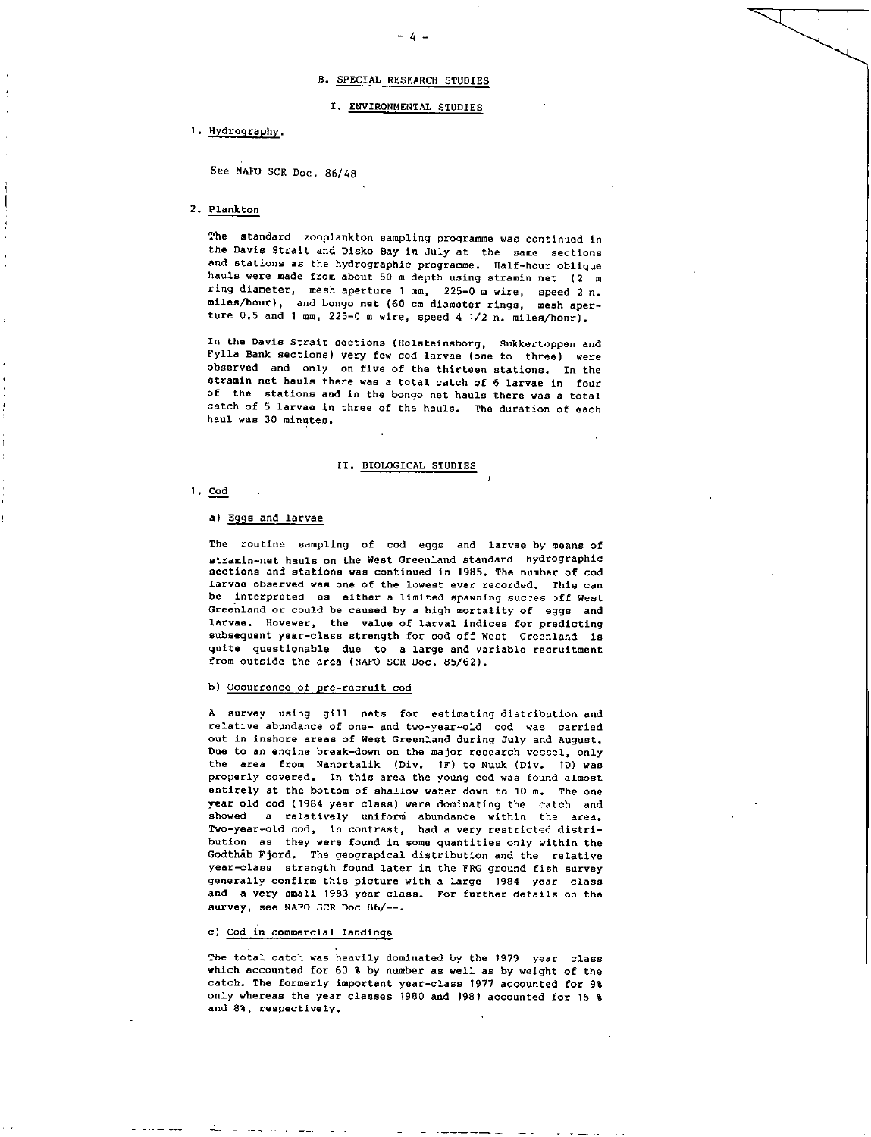- 4 -

## I. ENVIRONMENTAL STUDIES

## 1. Hydrography.

See NAFO SCR Doc. 86/48

## 2. Plankton

The standard zooplankton sampling programme was continued in the Davis Strait and Disko Bay in July at the same sections and stations as the hydrographic programme. Half-hour oblique hauls were made from about 50 m depth using stramin net (2 m ring diameter, mesh aperture 1 mm, 225-0 m wire, speed 2 n. miles/hour), and bongo net (60 cm diameter rings, mesh aperture 0.5 and 1 mm, 225-0 m wire, speed 4 1/2 n. miles/hour).

In the Davis Strait sections (Holsteineborg, Sukkertoppen and Fylla Bank sections) very few cod larvae (one to three) were observed and only on five of the thirteen stations. In the stramin net hauls there was a total catch of 6 larvae in four of the stations and in the bongo net hauls there was a total catch of 5 larvae in three of the hauls. The duration of each haul was 30 minutes.

## II. BIOLOGICAL STUDIES

 $1. \text{cod}$ 

### a) Eggs and larvae

The routine sampling of cod eggs and larvae by means of stramin-net hauls on the West Greenland standard hydrographic sections and stations was continued in 1985. The number of cod larvae observed was one of the lowest ever recorded. This can be interpreted as either a limited spawning succes off West Greenland or could be caused by a high mortality of eggs and larvae. Hovewer, the value of larval indices for predicting subsequent year-class strength for cod off West Greenland la quite questionable due to a large and variable recruitment from outside the area (NAFO SCR Doc. 85/62).

# b) Occurrence of pre-recruit cod

A survey using gill nets for estimating distribution and relative abundance of one- and two-year-old cod was carried out in inshore areas of West Greenland during July and August. Due to an engine break-down on the major research vessel, only the area from Nanortalik (Div. IF) to Nuuk (Div. ID) was properly covered. In this area the young cod was found almost entirely at the bottom of shallow water down to 10 m. The one year old cod (1984 year class) were dominating the catch and showed a relatively uniform abundance within the area. Two-year-old cod, in contrast, had a very restricted distribution as they were found in some quantities only within the GodthAb Fjord. The geograpical distribution and the relative year-class strength found later in the FRG ground fish survey generally confirm this picture with a large 1984 year class and a very small 1983 year class. For further details on the survey, see NAFO SCR Doc 86/--.

#### c) Cod in commercial landings

The total catch was heavily dominated by the 1979 year class which accounted for 60 % by number as well as by weight of the catch. The formerly important year-class 1977 accounted for 9% only whereas the year classes 1980 and 1981 accounted for 15 % and 8%, respectively.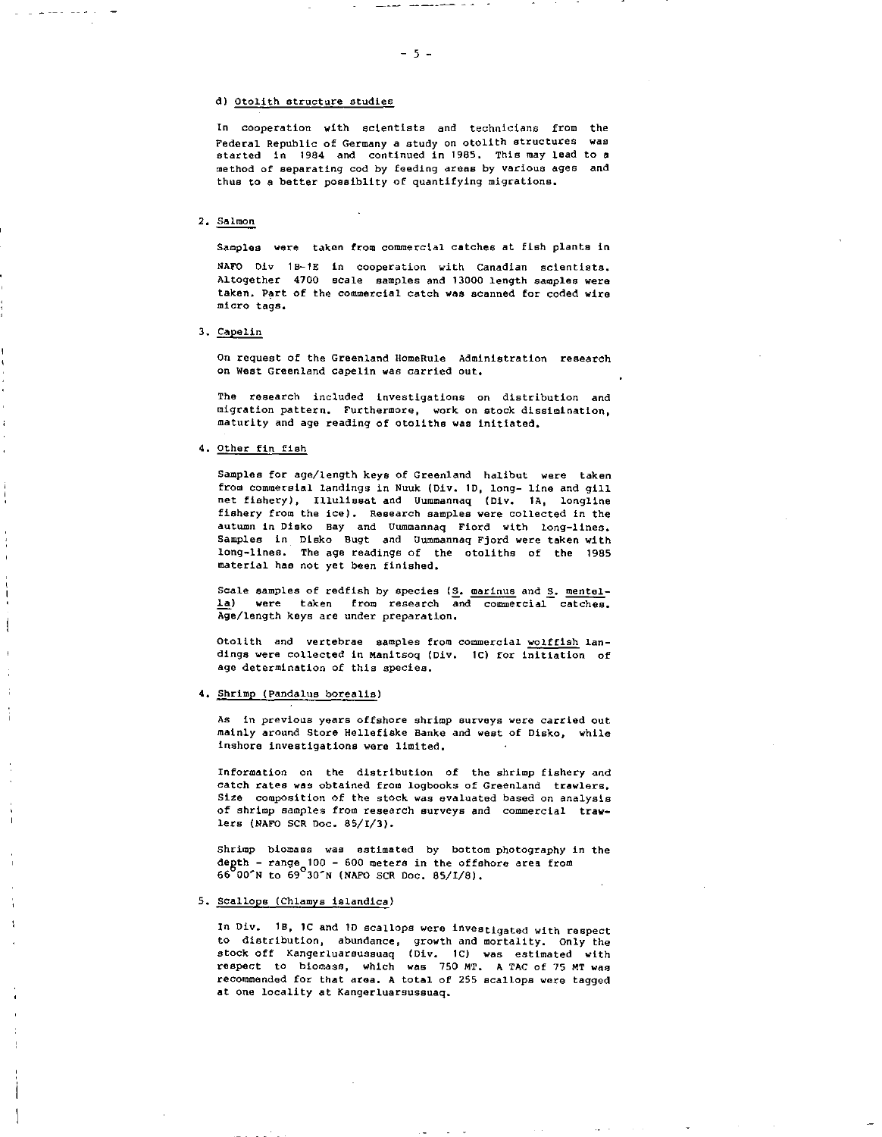## d) Otolith structure studies

In cooperation with scientists and technicians from the Federal Republic of Germany a study on otolith structures was started in 1984 and continued in 1985. This may lead to **<sup>a</sup>** method of separating cod by feeding areas by various ages and thus to a better poesiblity of quantifying migrations.

## 2. Salmon

Samples were taken from commercial catches at fish plants in

NAFO Div 18-16 in cooperation with Canadian scientists. Altogether 4700 scale samples and 13000 length samples were taken. Part of the commercial catch was scanned for coded wire micro tags.

3. Capelin

On request of the Greenland HomeRule Administration research on West Greenland capelin was carried out.

The research included investigations on distribution and migration pattern. Furthermore, work on stock dissimination, maturity and age reading of otoliths was initiated.

4. Other fin fish

Samples for age/length keys of Greenland halibut were taken from commersial landings in Nuuk (Div. 1D, long- line and gill net fishery), Illulissat and Uummannaq (Div. IA, longline fishery from the ice). Research samples were collected in the autumn in Disko may and Uummannaq Fiord with long-lines. Samples in Disko Bugt and Uummannaq Fjord were taken with long-lines. The age readings of the otoliths of the 1985 material has not yet been finished.

Scale samples of redfish by species  $(S_n)$  marinus and  $S_n$  mentella) were taken from research and commercial catches. Age/length keys are under preparation.

Otolith and vertebrae samples from commercial wolffish landings were collected in Manitsoq (Div. 1C) for initiation of age determination of this species.

4. Shrimp (Pandalus borealis)

As in previous years offshore shrimp surveys were carried out mainly around Store Hellefiske Henke and west of Disko, while inshore investigations were limited.

Information on the distribution of the shrimp fishery and catch rates was obtained from logbooks of Greenland trawlers. Size composition of the stock was evaluated based on analysis of shrimp samples from research surveys and commercial trawlers (NAFO SCR Doc. 85/1/3).

Shrimp biomass was estimated by bottom photography in the degth - range 100- 600 meters in the offshore area from 66°00^N to 69°30^N (NAFO SCR Doc. 85/1/8).

## 5. Scallops (Chlamys islandica)

In Div. 1B, IC and ID scallops were investigated with respect to distribution, abundance, growth and mortality. Only the stock off Kangerluarsussuaq (Div. 1C) was estimated with respect to biomass, which was 750 MT. A TAC of 75 MT was recommended for that area. A total of 255 scallops were tagged at one locality at Kangerluarsussuaq.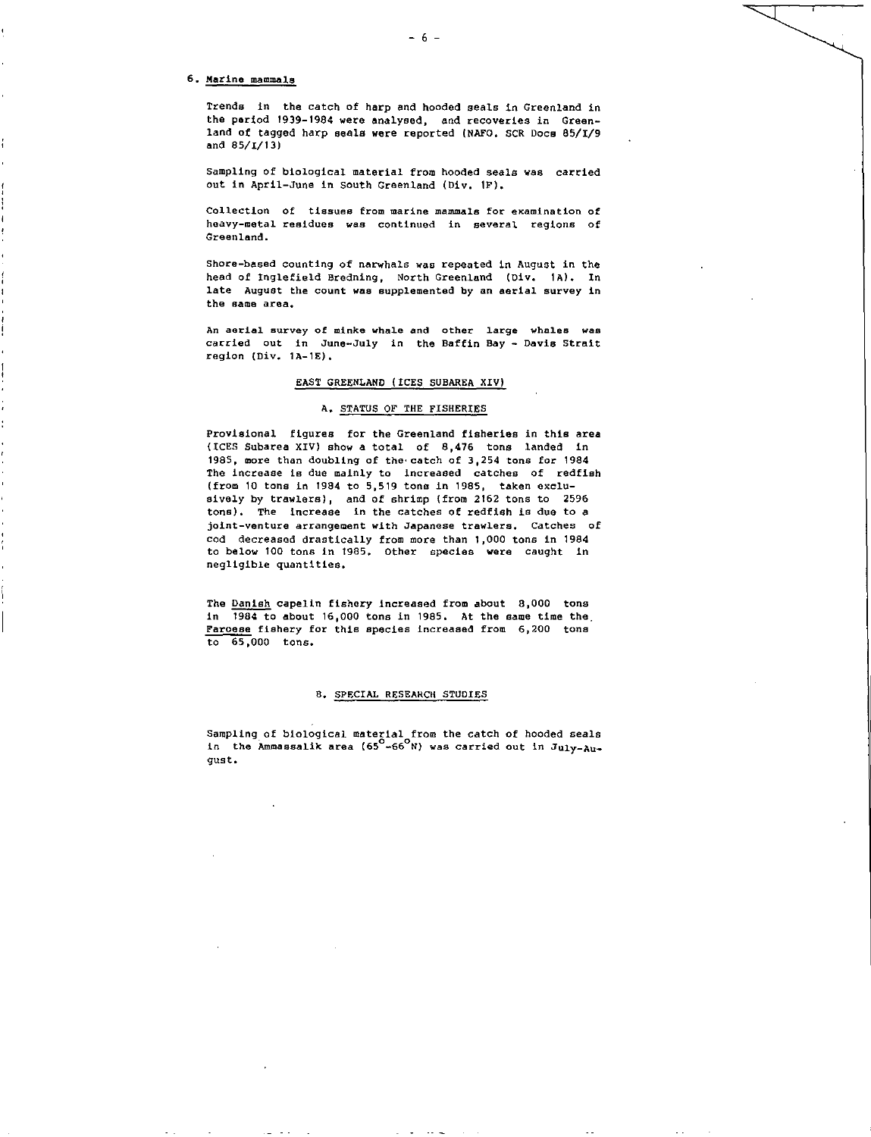#### 6. Marine mammals

Trends in the catch of harp and hooded seals in Greenland in the period 1939-1984 were analysed, and recoveries in Greenland of tagged harp seals were reported (NATO. SCR Doce 85/1/9 and 85/1/13)

- 6 -

Sampling of biological material from hooded seals was carried out in April-June in South Greenland (Div. IF).

Collection of tissues from marine mammals for examination of heavy-metal residues was continued in several regions of Greenland.

Shore-based counting of narwhals was repeated in August in the head of Inglefield Bredning, North Greenland (Div. 1A). In late August the count *was* supplemented by an aerial survey *in*  the same area.

An aerial survey of minke whale and other large whales was carried out in June-July in the Baffin Bay - Davis Strait region (Div. 1A-1E).

## EAST GREENLAND (ICES SUBAREA XIV)

## A. STATUS OF THE FISHERIES

Provisional figures for the Greenland fisheries in this area (ICES Subarea XIV) show a total of 8,476 tons landed in 1985, more than doubling of the catch of 3,254 tons for 1984 The increase is due mainly to increased catches of redfish (from 10 tons in 1984 to 5,519 tone in 1985, taken exclusively by trawlers), and of shrimp (from 2162 tons to 2596 tons). The increase in the catches of redfish is due to a joint-venture arrangement with Japanese trawlers. Catches of cod decreased drastically from more than 1,000 tons in 1984 to below 100 tons in 1985. Other species were caught in negligible quantities.

The Danish capelin fishery increased from about 8,000 tons in 1984 to about 16,000 tons in 1985. At the same time the Faroese fishery for this species increased from 6,200 tons to 65,000 tons.

## 8. SPECIAL RESEARCH STUDIES

Sampling of biological material from the catch of hooded seals in the Ammassalik area ( $65^{\circ}$ -66 $^{\circ}$ N) was carried out in July-August.